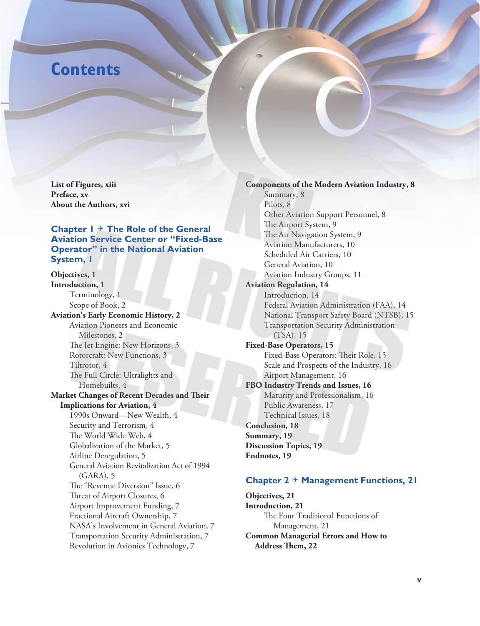# **Contents**

**List of Figures, xiii Preface, xv About the Authors, xvi**

#### **Chapter 1 The Role of the General Aviation Service Center or "Fixed-Base Operator" in the National Aviation System, 1**

**Objectives, 1 Introduction, 1** Terminology, 1 Scope of Book, 2 **Aviation's Early Economic History, 2** Aviation Pioneers and Economic Milestones, 2 The Jet Engine: New Horizons, 3 Rotorcraft: New Functions, 3 Tiltrotor, 4 The Full Circle: Ultralights and Homebuilts, 4 **Market Changes of Recent Decades and Their Implications for Aviation, 4** 1990s Onward— New Wealth, 4 Security and Terrorism, 4 The World Wide Web, 4 Globalization of the Market, 5 Airline Deregulation, 5 General Aviation Revitalization Act of 1994 (GARA), 5 The "Revenue Diversion" Issue, 6 Threat of Airport Closures, 6 Airport Improvement Funding, 7 Fractional Aircraft Ownership, 7 NASA's Involvement in General Aviation, 7 Transportation Security Administration, 7 Revolution in Avionics Technology, 7

**Components of the Modern Aviation Industry, 8** Summary, 8 Pilots, 8 Other Aviation Support Personnel, 8 The Airport System, 9 The Air Navigation System, 9 Aviation Manufacturers, 10 Scheduled Air Carriers, 10 General Aviation, 10 Aviation Industry Groups, 11 **Aviation Regulation, 14** Introduction, 14 Federal Aviation Administration (FAA), 14 National Transport Safety Board (NTSB), 15 Transportation Security Administration (TSA), 15 **Fixed- Base Operators, 15** Fixed-Base Operators: Their Role, 15 Scale and Prospects of the Industry, 16 Airport Management, 16 **FBO Industry Trends and Issues, 16** Maturity and Professionalism, 16 Public Awareness, 17 Technical Issues, 18 **Conclusion, 18 Summary, 19 Discussion Topics, 19 Endnotes, 19**

#### **Chapter 2**  $\div$  **Management Functions, 21**

**Objectives, 21 Introduction, 21** The Four Traditional Functions of Management, 21 **Common Managerial Errors and How to**  Address Them, 22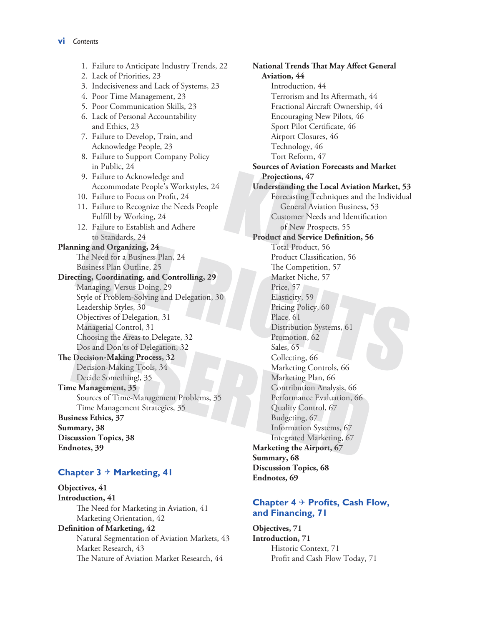1. Failure to Anticipate Industry Trends, 22 2. Lack of Priorities, 23 3. Indecisiveness and Lack of Systems, 23 4. Poor Time Management, 23 5. Poor Communication Skills, 23 6. Lack of Personal Accountability and Ethics, 23 7. Failure to Develop, Train, and Acknowledge People, 23 8. Failure to Support Company Policy in Public, 24 9. Failure to Acknowledge and Accommodate People's Workstyles, 24 10. Failure to Focus on Profit, 24 11. Failure to Recognize the Needs People Fulfill by Working, 24 12. Failure to Establish and Adhere to Standards, 24 **Planning and Organizing, 24** The Need for a Business Plan, 24 Business Plan Outline, 25 **Directing, Coordinating, and Controlling, 29** Managing, Versus Doing, 29 Style of Problem-Solving and Delegation, 30 Leadership Styles, 30 Objectives of Delegation, 31 Managerial Control, 31 Choosing the Areas to Delegate, 32 Dos and Don'ts of Delegation, 32 **The Decision-Making Process, 32** Decision-Making Tools, 34 Decide Something!, 35 **Time Management, 35** Sources of Time-Management Problems, 35 Time Management Strategies, 35 **Business Ethics, 37 Summary, 38 Discussion Topics, 38 Endnotes, 39**

## **Chapter 3 Marketing, 41**

**Objectives, 41 Introduction, 41** The Need for Marketing in Aviation, 41 Marketing Orientation, 42 **Definition of Marketing, 42** Natural Segmentation of Aviation Markets, 43 Market Research, 43 The Nature of Aviation Market Research, 44

**National Trends That May Affect General Aviation, 44** Introduction, 44 Terrorism and Its Aftermath, 44 Fractional Aircraft Ownership, 44 Encouraging New Pilots, 46 Sport Pilot Certificate, 46 Airport Closures, 46 Technology, 46 Tort Reform, 47 **Sources of Aviation Forecasts and Market Projections, 47 Understanding the Local Aviation Market, 53** Forecasting Techniques and the Individual General Aviation Business, 53 Customer Needs and Identification of New Prospects, 55 **Product and Service Definition, 56** Total Product, 56 Product Classification, 56 The Competition, 57 Market Niche, 57 Price, 57 Elasticity, 59 Pricing Policy, 60 Place, 61 Distribution Systems, 61 Promotion, 62 Sales, 65 Collecting, 66 Marketing Controls, 66 Marketing Plan, 66 Contribution Analysis, 66 Performance Evaluation, 66 Quality Control, 67 Budgeting, 67 Information Systems, 67 Integrated Marketing, 67 **Marketing the Airport, 67 Summary, 68 Discussion Topics, 68 Endnotes, 69**

#### **Chapter 4 Profits, Cash Flow, and Financing, 71**

**Objectives, 71 Introduction, 71** Historic Context, 71 Profit and Cash Flow Today, 71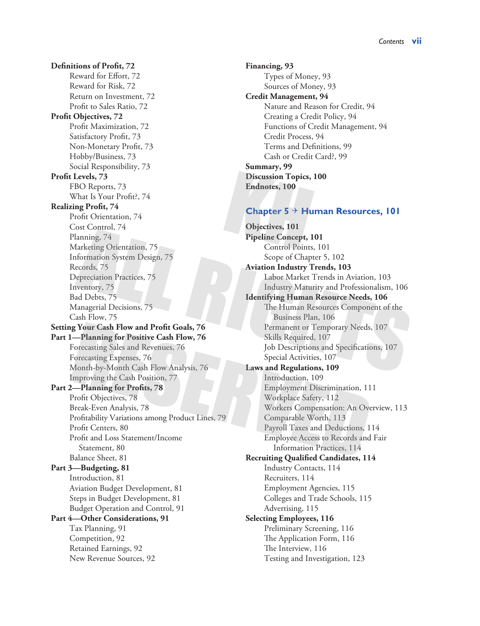**Definitions of Profit, 72** Reward for Effort, 72 Reward for Risk, 72 Return on Investment, 72 Profit to Sales Ratio, 72 **Profit Objectives, 72** Profit Maximization, 72 Satisfactory Profit, 73 Non-Monetary Profit, 73 Hobby/Business, 73 Social Responsibility, 73 **Profit Levels, 73** FBO Reports, 73 What Is Your Profit?, 74 **Realizing Profit, 74** Profit Orientation, 74 Cost Control, 74 Planning, 74 Marketing Orientation, 75 Information System Design, 75 Records, 75 Depreciation Practices, 75 Inventory, 75 Bad Debts, 75 Managerial Decisions, 75 Cash Flow, 75 **Setting Your Cash Flow and Profit Goals, 76 Part 1—Planning for Positive Cash Flow, 76** Forecasting Sales and Revenues, 76 Forecasting Expenses, 76 Month-by-Month Cash Flow Analysis, 76 Improving the Cash Position, 77 **Part 2—Planning for Profits, 78** Profit Objectives, 78 Break-Even Analysis, 78 Profitability Variations among Product Lines, 79 Profit Centers, 80 Profit and Loss Statement/Income Statement, 80 Balance Sheet, 81 **Part 3—Budgeting, 81** Introduction, 81 Aviation Budget Development, 81 Steps in Budget Development, 81 Budget Operation and Control, 91 **Part 4—Other Considerations, 91** Tax Planning, 91 Competition, 92 Retained Earnings, 92 New Revenue Sources, 92

**Financing, 93** Types of Money, 93 Sources of Money, 93 **Credit Management, 94** Nature and Reason for Credit, 94 Creating a Credit Policy, 94 Functions of Credit Management, 94 Credit Process, 94 Terms and Definitions, 99 Cash or Credit Card?, 99 **Summary, 99 Discussion Topics, 100 Endnotes, 100**

#### **Chapter 5 Human Resources, 101**

**Objectives, 101 Pipeline Concept, 101** Control Points, 101 Scope of Chapter 5, 102 **Aviation Industry Trends, 103** Labor Market Trends in Aviation, 103 Industry Maturity and Professionalism, 106 **Identifying Human Resource Needs, 106** The Human Resources Component of the Business Plan, 106 Permanent or Temporary Needs, 107 Skills Required, 107 Job Descriptions and Specifications, 107 Special Activities, 107 **Laws and Regulations, 109** Introduction, 109 Employment Discrimination, 111 Workplace Safety, 112 Workers Compensation: An Overview, 113 Comparable Worth, 113 Payroll Taxes and Deductions, 114 Employee Access to Records and Fair Information Practices, 114 **Recruiting Qualified Candidates, 114** Industry Contacts, 114 Recruiters, 114 Employment Agencies, 115 Colleges and Trade Schools, 115 Advertising, 115 **Selecting Employees, 116** Preliminary Screening, 116 The Application Form, 116 The Interview, 116 Testing and Investigation, 123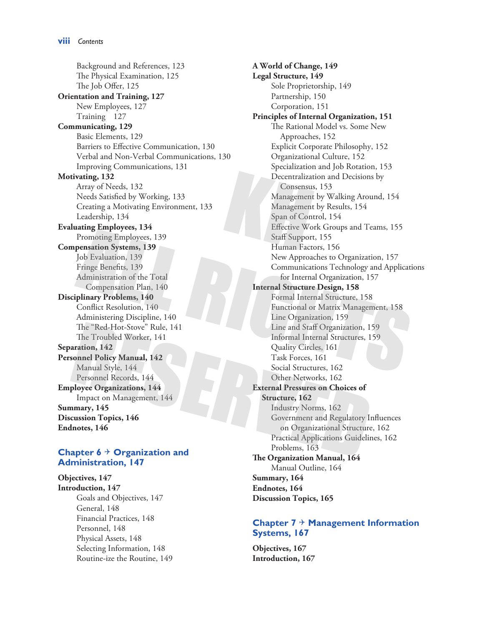Background and References, 123 The Physical Examination, 125 The Job Offer, 125 **Orientation and Training, 127** New Employees, 127 Training 127 **Communicating, 129** Basic Elements, 129 Barriers to Effective Communication, 130 Verbal and Non-Verbal Communications, 130 Improving Communications, 131 **Motivating, 132** Array of Needs, 132 Needs Satisfied by Working, 133 Creating a Motivating Environment, 133 Leadership, 134 **Evaluating Employees, 134** Promoting Employees, 139 **Compensation Systems, 139** Job Evaluation, 139 Fringe Benefits, 139 Administration of the Total Compensation Plan, 140 **Disciplinary Problems, 140** Conflict Resolution, 140 Administering Discipline, 140 The "Red-Hot-Stove" Rule, 141 The Troubled Worker, 141 **Separation, 142 Personnel Policy Manual, 142** Manual Style, 144 Personnel Records, 144 **Employee Organizations, 144** Impact on Management, 144 **Summary, 145 Discussion Topics, 146 Endnotes, 146**

#### **Chapter 6 Organization and Administration, 147**

**Objectives, 147 Introduction, 147** Goals and Objectives, 147 General, 148 Financial Practices, 148 Personnel, 148 Physical Assets, 148 Selecting Information, 148 Routine-ize the Routine, 149 **A World of Change, 149 Legal Structure, 149** Sole Proprietorship, 149 Partnership, 150 Corporation, 151 **Principles of Internal Organization, 151** The Rational Model vs. Some New Approaches, 152 Explicit Corporate Philosophy, 152 Organizational Culture, 152 Specialization and Job Rotation, 153 Decentralization and Decisions by Consensus, 153 Management by Walking Around, 154 Management by Results, 154 Span of Control, 154 Effective Work Groups and Teams, 155 Staff Support, 155 Human Factors, 156 New Approaches to Organization, 157 Communications Technology and Applications for Internal Organization, 157 **Internal Structure Design, 158** Formal Internal Structure, 158 Functional or Matrix Management, 158 Line Organization, 159 Line and Staff Organization, 159 Informal Internal Structures, 159 Quality Circles, 161 Task Forces, 161 Social Structures, 162 Other Networks, 162 **External Pressures on Choices of Structure, 162** Industry Norms, 162 Government and Regulatory Influences on Organizational Structure, 162 Practical Applications Guidelines, 162 Problems, 163 **The Organization Manual, 164** Manual Outline, 164 **Summary, 164 Endnotes, 164 Discussion Topics, 165**

#### **Chapter 7 Management Information Systems, 167**

**Objectives, 167 Introduction, 167**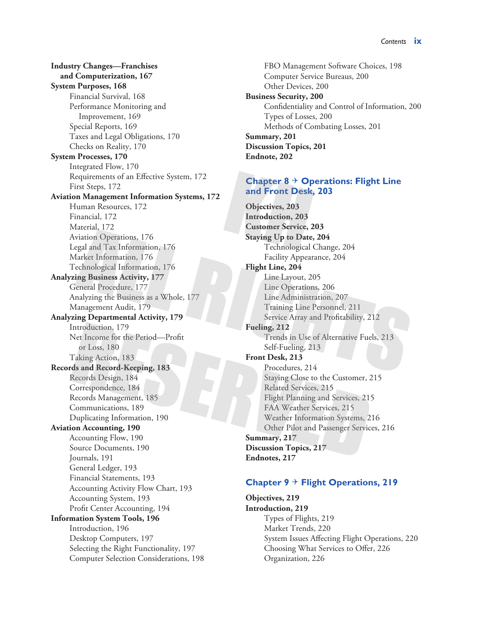**Industry Changes—Franchises and Computerization, 167 System Purposes, 168** Financial Survival, 168 Performance Monitoring and Improvement, 169 Special Reports, 169 Taxes and Legal Obligations, 170 Checks on Reality, 170 **System Processes, 170** Integrated Flow, 170 Requirements of an Effective System, 172 First Steps, 172 **Aviation Management Information Systems, 172** Human Resources, 172 Financial, 172 Material, 172 Aviation Operations, 176 Legal and Tax Information, 176 Market Information, 176 Technological Information, 176 **Analyzing Business Activity, 177** General Procedure, 177 Analyzing the Business as a Whole, 177 Management Audit, 179 **Analyzing Departmental Activity, 179** Introduction, 179 Net Income for the Period—Profit or Loss, 180 Taking Action, 183 **Records and Record-Keeping, 183** Records Design, 184 Correspondence, 184 Records Management, 185 Communications, 189 Duplicating Information, 190 **Aviation Accounting, 190** Accounting Flow, 190 Source Documents, 190 Journals, 191 General Ledger, 193 Financial Statements, 193 Accounting Activity Flow Chart, 193 Accounting System, 193 Profit Center Accounting, 194 **Information System Tools, 196** Introduction, 196 Desktop Computers, 197 Selecting the Right Functionality, 197 Computer Selection Considerations, 198

FBO Management Software Choices, 198 Computer Service Bureaus, 200 Other Devices, 200 **Business Security, 200** Confidentiality and Control of Information, 200 Types of Losses, 200 Methods of Combating Losses, 201 **Summary, 201 Discussion Topics, 201 Endnote, 202**

#### **Chapter 8 Operations: Flight Line and Front Desk, 203**

**Objectives, 203 Introduction, 203 Customer Service, 203 Staying Up to Date, 204** Technological Change, 204 Facility Appearance, 204 **Flight Line, 204** Line Layout, 205 Line Operations, 206 Line Administration, 207 Training Line Personnel, 211 Service Array and Profitability, 212 **Fueling, 212** Trends in Use of Alternative Fuels, 213 Self-Fueling, 213 **Front Desk, 213** Procedures, 214 Staying Close to the Customer, 215 Related Services, 215 Flight Planning and Services, 215 FAA Weather Services, 215 Weather Information Systems, 216 Other Pilot and Passenger Services, 216 **Summary, 217 Discussion Topics, 217 Endnotes, 217**

# **Chapter 9 Flight Operations, 219**

**Objectives, 219 Introduction, 219** Types of Flights, 219 Market Trends, 220 System Issues Affecting Flight Operations, 220 Choosing What Services to Offer, 226 Organization, 226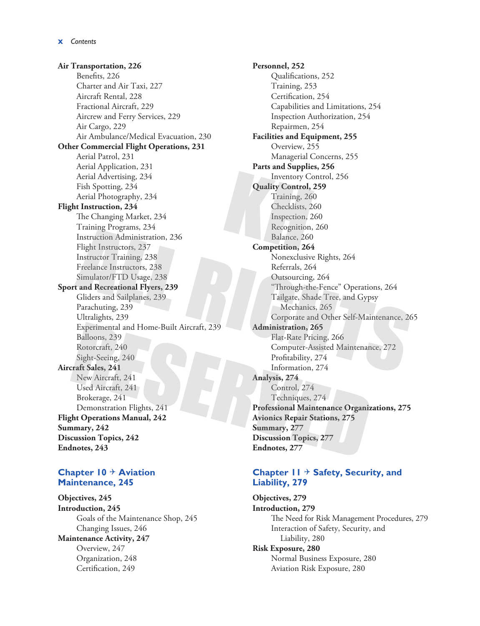**Air Transportation, 226** Benefits, 226 Charter and Air Taxi, 227 Aircraft Rental, 228 Fractional Aircraft, 229 Aircrew and Ferry Services, 229 Air Cargo, 229 Air Ambulance/Medical Evacuation, 230 **Other Commercial Flight Operations, 231** Aerial Patrol, 231 Aerial Application, 231 Aerial Advertising, 234 Fish Spotting, 234 Aerial Photography, 234 **Flight Instruction, 234** The Changing Market, 234 Training Programs, 234 Instruction Administration, 236 Flight Instructors, 237 Instructor Training, 238 Freelance Instructors, 238 Simulator/FTD Usage, 238 **Sport and Recreational Flyers, 239** Gliders and Sailplanes, 239 Parachuting, 239 Ultralights, 239 Experimental and Home-Built Aircraft, 239 Balloons, 239 Rotorcraft, 240 Sight-Seeing, 240 **Aircraft Sales, 241** New Aircraft, 241 Used Aircraft, 241 Brokerage, 241 Demonstration Flights, 241 **Flight Operations Manual, 242 Summary, 242 Discussion Topics, 242 Endnotes, 243**

#### **Chapter 10 Aviation Maintenance, 245**

**Objectives, 245 Introduction, 245** Goals of the Maintenance Shop, 245 Changing Issues, 246 **Maintenance Activity, 247**

Overview, 247 Organization, 248 Certification, 249

**Personnel, 252** Qualifications, 252 Training, 253 Certification, 254 Capabilities and Limitations, 254 Inspection Authorization, 254 Repairmen, 254 **Facilities and Equipment, 255** Overview, 255 Managerial Concerns, 255 **Parts and Supplies, 256** Inventory Control, 256 **Quality Control, 259** Training, 260 Checklists, 260 Inspection, 260 Recognition, 260 Balance, 260 **Competition, 264** Nonexclusive Rights, 264 Referrals, 264 Outsourcing, 264 "Through-the-Fence" Operations, 264 Tailgate, Shade Tree, and Gypsy Mechanics, 265 Corporate and Other Self-Maintenance, 265 **Administration, 265** Flat-Rate Pricing, 266 Computer-Assisted Maintenance, 272 Profitability, 274 Information, 274 **Analysis, 274** Control, 274 Techniques, 274 **Professional Maintenance Organizations, 275 Avionics Repair Stations, 275 Summary, 277 Discussion Topics, 277 Endnotes, 277**

#### **Chapter 11 Safety, Security, and Liability, 279**

**Objectives, 279 Introduction, 279** The Need for Risk Management Procedures, 279 Interaction of Safety, Security, and Liability, 280 **Risk Exposure, 280**

Normal Business Exposure, 280 Aviation Risk Exposure, 280